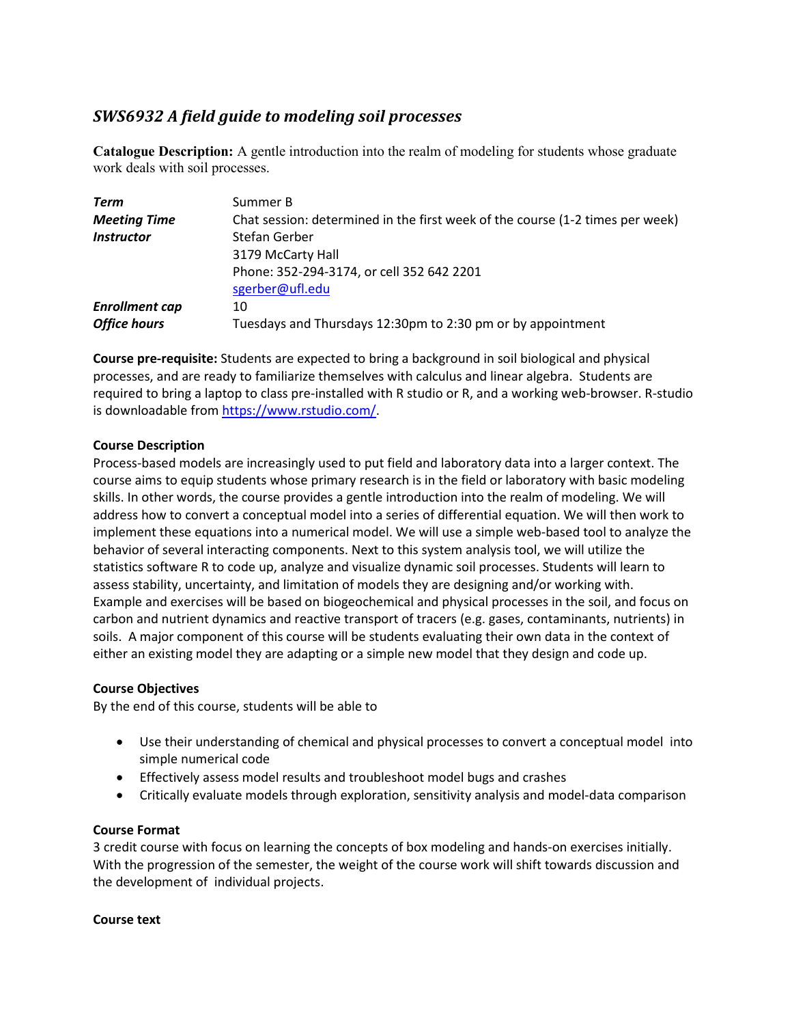# *SWS6932 A field guide to modeling soil processes*

**Catalogue Description:** A gentle introduction into the realm of modeling for students whose graduate work deals with soil processes.

| Term                     | Summer B                                                                      |
|--------------------------|-------------------------------------------------------------------------------|
| <b>Meeting Time</b>      | Chat session: determined in the first week of the course (1-2 times per week) |
| <i><b>Instructor</b></i> | <b>Stefan Gerber</b>                                                          |
|                          | 3179 McCarty Hall                                                             |
|                          | Phone: 352-294-3174, or cell 352 642 2201                                     |
|                          | sgerber@ufl.edu                                                               |
| <b>Enrollment cap</b>    | 10                                                                            |
| <b>Office hours</b>      | Tuesdays and Thursdays 12:30pm to 2:30 pm or by appointment                   |

**Course pre-requisite:** Students are expected to bring a background in soil biological and physical processes, and are ready to familiarize themselves with calculus and linear algebra. Students are required to bring a laptop to class pre-installed with R studio or R, and a working web-browser. R-studio is downloadable fro[m https://www.rstudio.com/.](https://www.rstudio.com/)

# **Course Description**

Process-based models are increasingly used to put field and laboratory data into a larger context. The course aims to equip students whose primary research is in the field or laboratory with basic modeling skills. In other words, the course provides a gentle introduction into the realm of modeling. We will address how to convert a conceptual model into a series of differential equation. We will then work to implement these equations into a numerical model. We will use a simple web-based tool to analyze the behavior of several interacting components. Next to this system analysis tool, we will utilize the statistics software R to code up, analyze and visualize dynamic soil processes. Students will learn to assess stability, uncertainty, and limitation of models they are designing and/or working with. Example and exercises will be based on biogeochemical and physical processes in the soil, and focus on carbon and nutrient dynamics and reactive transport of tracers (e.g. gases, contaminants, nutrients) in soils. A major component of this course will be students evaluating their own data in the context of either an existing model they are adapting or a simple new model that they design and code up.

# **Course Objectives**

By the end of this course, students will be able to

- Use their understanding of chemical and physical processes to convert a conceptual model into simple numerical code
- Effectively assess model results and troubleshoot model bugs and crashes
- Critically evaluate models through exploration, sensitivity analysis and model-data comparison

# **Course Format**

3 credit course with focus on learning the concepts of box modeling and hands-on exercises initially. With the progression of the semester, the weight of the course work will shift towards discussion and the development of individual projects.

# **Course text**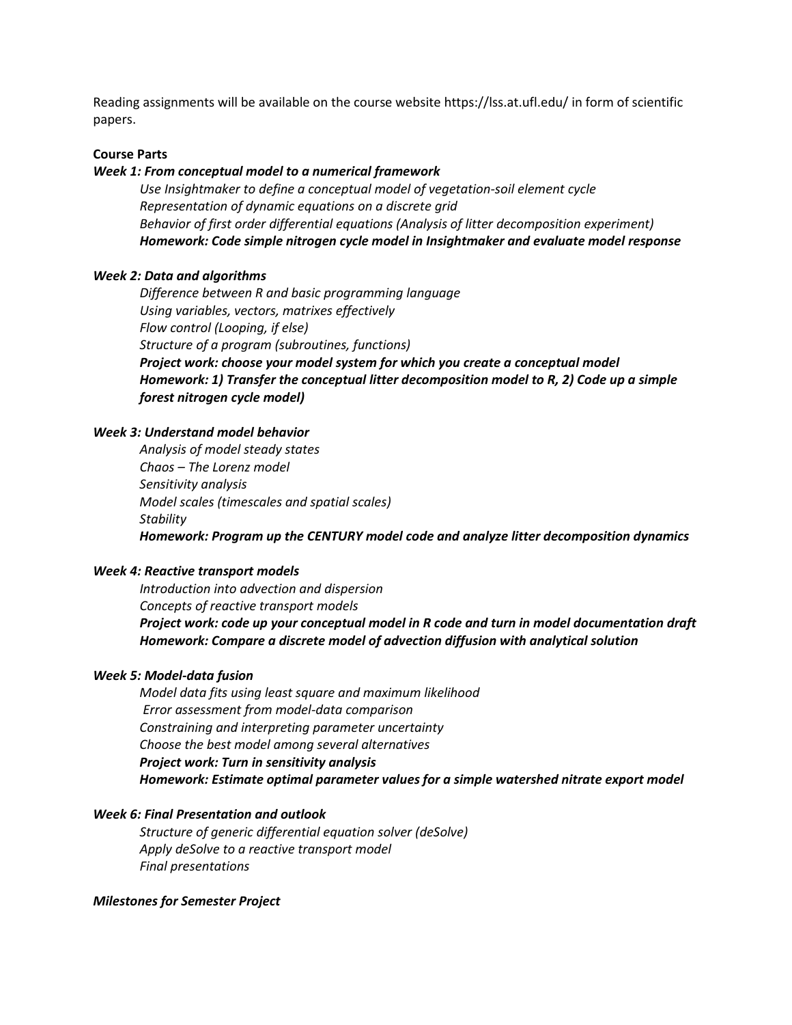Reading assignments will be available on the course website https://lss.at.ufl.edu/ in form of scientific papers.

#### **Course Parts**

### *Week 1: From conceptual model to a numerical framework*

*Use Insightmaker to define a conceptual model of vegetation-soil element cycle Representation of dynamic equations on a discrete grid Behavior of first order differential equations (Analysis of litter decomposition experiment) Homework: Code simple nitrogen cycle model in Insightmaker and evaluate model response*

#### *Week 2: Data and algorithms*

*Difference between R and basic programming language Using variables, vectors, matrixes effectively Flow control (Looping, if else) Structure of a program (subroutines, functions) Project work: choose your model system for which you create a conceptual model Homework: 1) Transfer the conceptual litter decomposition model to R, 2) Code up a simple forest nitrogen cycle model)*

#### *Week 3: Understand model behavior*

*Analysis of model steady states Chaos – The Lorenz model Sensitivity analysis Model scales (timescales and spatial scales) Stability Homework: Program up the CENTURY model code and analyze litter decomposition dynamics*

# *Week 4: Reactive transport models*

*Introduction into advection and dispersion Concepts of reactive transport models Project work: code up your conceptual model in R code and turn in model documentation draft Homework: Compare a discrete model of advection diffusion with analytical solution*

#### *Week 5: Model-data fusion*

*Model data fits using least square and maximum likelihood Error assessment from model-data comparison Constraining and interpreting parameter uncertainty Choose the best model among several alternatives Project work: Turn in sensitivity analysis Homework: Estimate optimal parameter values for a simple watershed nitrate export model*

### *Week 6: Final Presentation and outlook*

*Structure of generic differential equation solver (deSolve) Apply deSolve to a reactive transport model Final presentations*

#### *Milestones for Semester Project*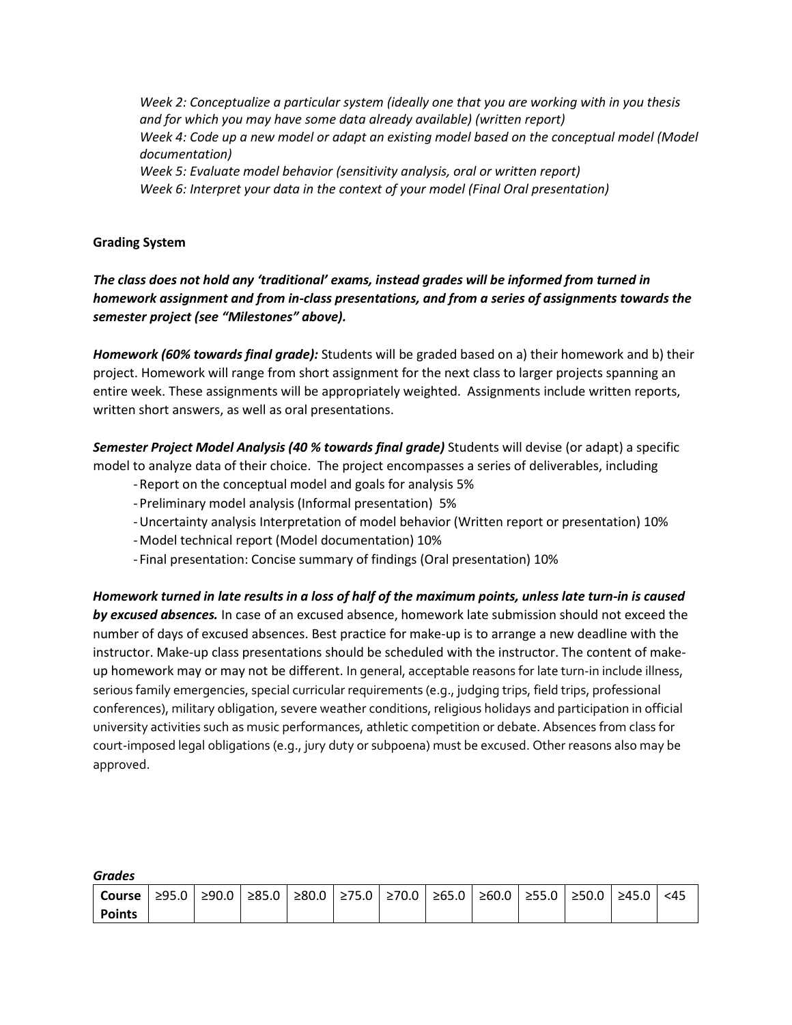*Week 2: Conceptualize a particular system (ideally one that you are working with in you thesis and for which you may have some data already available) (written report) Week 4: Code up a new model or adapt an existing model based on the conceptual model (Model documentation) Week 5: Evaluate model behavior (sensitivity analysis, oral or written report) Week 6: Interpret your data in the context of your model (Final Oral presentation)*

# **Grading System**

*The class does not hold any 'traditional' exams, instead grades will be informed from turned in homework assignment and from in-class presentations, and from a series of assignments towards the semester project (see "Milestones" above).*

*Homework (60% towards final grade):* Students will be graded based on a) their homework and b) their project. Homework will range from short assignment for the next class to larger projects spanning an entire week. These assignments will be appropriately weighted. Assignments include written reports, written short answers, as well as oral presentations.

*Semester Project Model Analysis (40 % towards final grade)* Students will devise (or adapt) a specific model to analyze data of their choice. The project encompasses a series of deliverables, including

- -Report on the conceptual model and goals for analysis 5%
- -Preliminary model analysis (Informal presentation) 5%
- -Uncertainty analysis Interpretation of model behavior (Written report or presentation) 10%
- -Model technical report (Model documentation) 10%
- Final presentation: Concise summary of findings (Oral presentation) 10%

*Homework turned in late results in a loss of half of the maximum points, unless late turn-in is caused by excused absences.* In case of an excused absence, homework late submission should not exceed the number of days of excused absences. Best practice for make-up is to arrange a new deadline with the instructor. Make-up class presentations should be scheduled with the instructor. The content of makeup homework may or may not be different. In general, acceptable reasons for late turn-in include illness, serious family emergencies, special curricular requirements (e.g., judging trips, field trips, professional conferences), military obligation, severe weather conditions, religious holidays and participation in official university activities such as music performances, athletic competition or debate. Absences from class for court-imposed legal obligations (e.g., jury duty or subpoena) must be excused. Other reasons also may be approved.

*Grades*

| ------        |  |  |                                                                               |  |  |  |  |  |  |  |       |      |
|---------------|--|--|-------------------------------------------------------------------------------|--|--|--|--|--|--|--|-------|------|
| Course        |  |  | ≥95.0   ≥90.0   ≥85.0   ≥80.0   ≥75.0   ≥70.0   ≥65.0   ≥60.0   ≥55.0   ≥50.0 |  |  |  |  |  |  |  | ≥45.0 | $45$ |
| <b>Points</b> |  |  |                                                                               |  |  |  |  |  |  |  |       |      |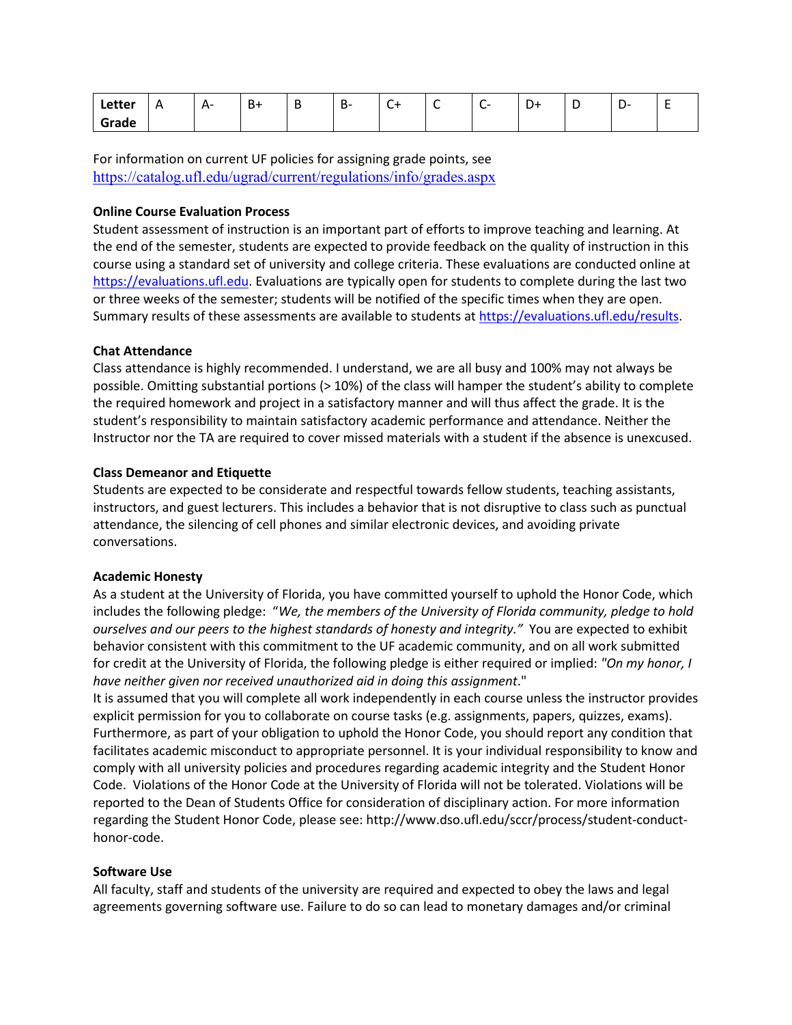| Letter | А<br>$\cdots$ | $A -$<br>. . | D<br>D | D- | ╭<br>َ ب | ◡ | -<br>֊ | $\overline{\phantom{0}}$<br>+ש |  | - |
|--------|---------------|--------------|--------|----|----------|---|--------|--------------------------------|--|---|
| Grade  |               |              |        |    |          |   |        |                                |  |   |

For information on current UF policies for assigning grade points, see <https://catalog.ufl.edu/ugrad/current/regulations/info/grades.aspx>

### **Online Course Evaluation Process**

Student assessment of instruction is an important part of efforts to improve teaching and learning. At the end of the semester, students are expected to provide feedback on the quality of instruction in this course using a standard set of university and college criteria. These evaluations are conducted online at [https://evaluations.ufl.edu.](https://evaluations.ufl.edu/) Evaluations are typically open for students to complete during the last two or three weeks of the semester; students will be notified of the specific times when they are open. Summary results of these assessments are available to students a[t https://evaluations.ufl.edu/results.](https://evaluations.ufl.edu/results)

### **Chat Attendance**

Class attendance is highly recommended. I understand, we are all busy and 100% may not always be possible. Omitting substantial portions (> 10%) of the class will hamper the student's ability to complete the required homework and project in a satisfactory manner and will thus affect the grade. It is the student's responsibility to maintain satisfactory academic performance and attendance. Neither the Instructor nor the TA are required to cover missed materials with a student if the absence is unexcused.

### **Class Demeanor and Etiquette**

Students are expected to be considerate and respectful towards fellow students, teaching assistants, instructors, and guest lecturers. This includes a behavior that is not disruptive to class such as punctual attendance, the silencing of cell phones and similar electronic devices, and avoiding private conversations.

# **Academic Honesty**

As a student at the University of Florida, you have committed yourself to uphold the Honor Code, which includes the following pledge: "*We, the members of the University of Florida community, pledge to hold ourselves and our peers to the highest standards of honesty and integrity."* You are expected to exhibit behavior consistent with this commitment to the UF academic community, and on all work submitted for credit at the University of Florida, the following pledge is either required or implied: *"On my honor, I have neither given nor received unauthorized aid in doing this assignment*."

It is assumed that you will complete all work independently in each course unless the instructor provides explicit permission for you to collaborate on course tasks (e.g. assignments, papers, quizzes, exams). Furthermore, as part of your obligation to uphold the Honor Code, you should report any condition that facilitates academic misconduct to appropriate personnel. It is your individual responsibility to know and comply with all university policies and procedures regarding academic integrity and the Student Honor Code. Violations of the Honor Code at the University of Florida will not be tolerated. Violations will be reported to the Dean of Students Office for consideration of disciplinary action. For more information regarding the Student Honor Code, please see: [http://www.dso.ufl.edu/sccr/process/student-conduct](http://www.dso.ufl.edu/sccr/process/student-conduct-honor-code)[honor-code.](http://www.dso.ufl.edu/sccr/process/student-conduct-honor-code)

### **Software Use**

All faculty, staff and students of the university are required and expected to obey the laws and legal agreements governing software use. Failure to do so can lead to monetary damages and/or criminal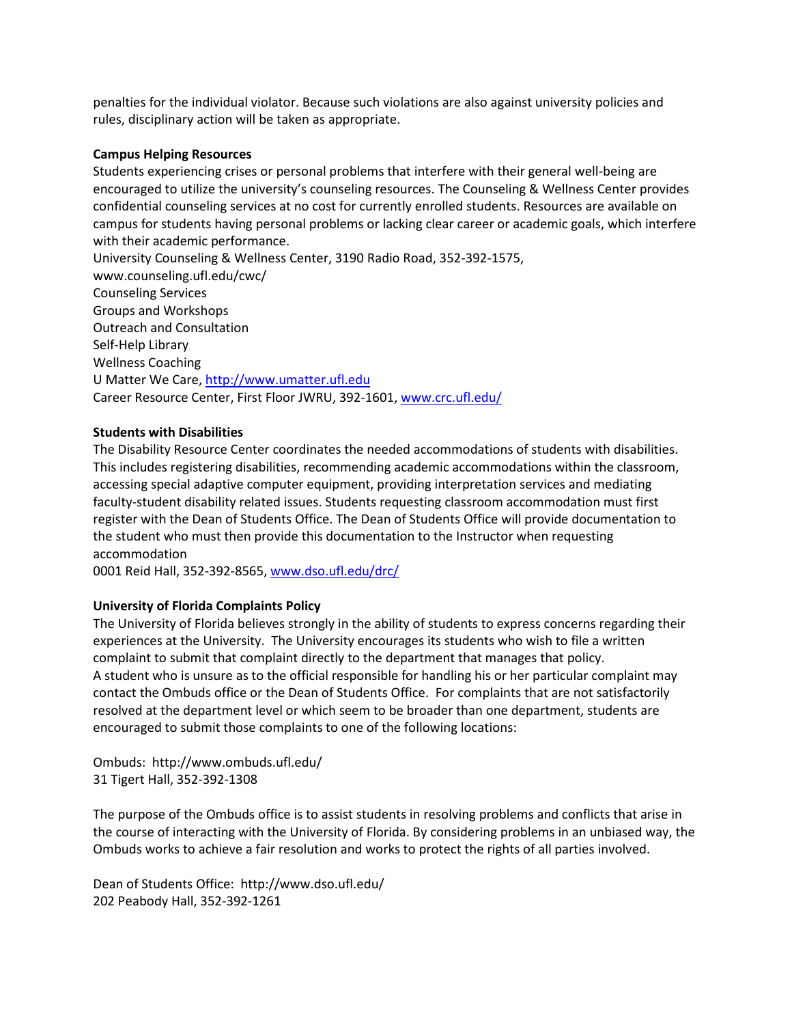penalties for the individual violator. Because such violations are also against university policies and rules, disciplinary action will be taken as appropriate.

### **Campus Helping Resources**

Students experiencing crises or personal problems that interfere with their general well-being are encouraged to utilize the university's counseling resources. The Counseling & Wellness Center provides confidential counseling services at no cost for currently enrolled students. Resources are available on campus for students having personal problems or lacking clear career or academic goals, which interfere with their academic performance.

University Counseling & Wellness Center, 3190 Radio Road, 352-392-1575, www.counseling.ufl.edu/cwc/ Counseling Services Groups and Workshops Outreach and Consultation Self-Help Library Wellness Coaching U Matter We Care, [http://www.umatter.ufl.edu](http://www.umatter.ufl.edu/)  Career Resource Center, First Floor JWRU, 392-1601, www.crc.ufl.edu/

# **Students with Disabilities**

The Disability Resource Center coordinates the needed accommodations of students with disabilities. This includes registering disabilities, recommending academic accommodations within the classroom, accessing special adaptive computer equipment, providing interpretation services and mediating faculty-student disability related issues. Students requesting classroom accommodation must first register with the Dean of Students Office. The Dean of Students Office will provide documentation to the student who must then provide this documentation to the Instructor when requesting accommodation

0001 Reid Hall, 352-392-8565, [www.dso.ufl.edu/drc/](http://www.dso.ufl.edu/drc/)

# **University of Florida Complaints Policy**

The University of Florida believes strongly in the ability of students to express concerns regarding their experiences at the University. The University encourages its students who wish to file a written complaint to submit that complaint directly to the department that manages that policy. A student who is unsure as to the official responsible for handling his or her particular complaint may contact the Ombuds office or the Dean of Students Office. For complaints that are not satisfactorily resolved at the department level or which seem to be broader than one department, students are encouraged to submit those complaints to one of the following locations:

Ombuds: http://www.ombuds.ufl.edu/ 31 Tigert Hall, 352-392-1308

The purpose of the Ombuds office is to assist students in resolving problems and conflicts that arise in the course of interacting with the University of Florida. By considering problems in an unbiased way, the Ombuds works to achieve a fair resolution and works to protect the rights of all parties involved.

Dean of Students Office: http://www.dso.ufl.edu/ 202 Peabody Hall, 352-392-1261